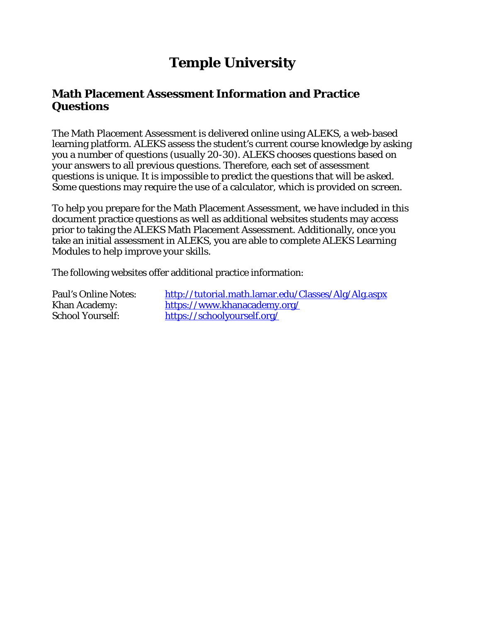# **Temple University**

## **Math Placement Assessment Information and Practice Questions**

The Math Placement Assessment is delivered online using ALEKS, a web-based learning platform. ALEKS assess the student's current course knowledge by asking you a number of questions (usually 20-30). ALEKS chooses questions based on your answers to all previous questions. Therefore, each set of assessment questions is unique. It is impossible to predict the questions that will be asked. Some questions may require the use of a calculator, which is provided on screen.

To help you prepare for the Math Placement Assessment, we have included in this document practice questions as well as additional websites students may access prior to taking the ALEKS Math Placement Assessment. Additionally, once you take an initial assessment in ALEKS, you are able to complete ALEKS Learning Modules to help improve your skills.

The following websites offer additional practice information:

Paul's Online Notes: <http://tutorial.math.lamar.edu/Classes/Alg/Alg.aspx> Khan Academy: <https://www.khanacademy.org/> School Yourself: <https://schoolyourself.org/>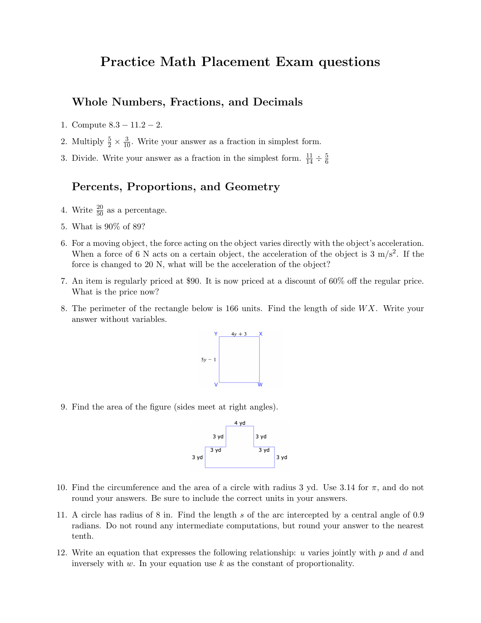## Practice Math Placement Exam questions

### Whole Numbers, Fractions, and Decimals

- 1. Compute 8.3 − 11.2 − 2.
- 2. Multiply  $\frac{5}{2} \times \frac{3}{10}$ . Write your answer as a fraction in simplest form.
- 3. Divide. Write your answer as a fraction in the simplest form.  $\frac{11}{14} \div \frac{5}{6}$ 6

### Percents, Proportions, and Geometry

- 4. Write  $\frac{20}{50}$  as a percentage.
- 5. What is 90% of 89?
- 6. For a moving object, the force acting on the object varies directly with the object's acceleration. When a force of 6 N acts on a certain object, the acceleration of the object is  $3 \text{ m/s}^2$ . If the force is changed to 20 N, what will be the acceleration of the object?
- 7. An item is regularly priced at \$90. It is now priced at a discount of 60% off the regular price. What is the price now?
- 8. The perimeter of the rectangle below is 166 units. Find the length of side  $WX$ . Write your answer without variables.



9. Find the area of the figure (sides meet at right angles).



- 10. Find the circumference and the area of a circle with radius 3 yd. Use 3.14 for  $\pi$ , and do not round your answers. Be sure to include the correct units in your answers.
- 11. A circle has radius of 8 in. Find the length s of the arc intercepted by a central angle of 0.9 radians. Do not round any intermediate computations, but round your answer to the nearest tenth.
- 12. Write an equation that expresses the following relationship: u varies jointly with  $p$  and  $d$  and inversely with  $w$ . In your equation use  $k$  as the constant of proportionality.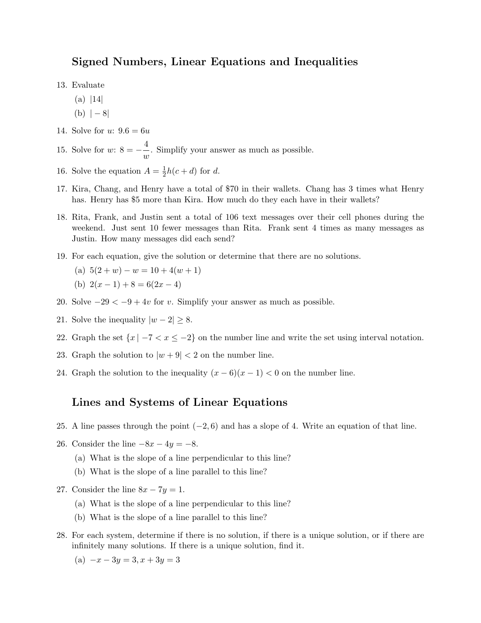### Signed Numbers, Linear Equations and Inequalities

13. Evaluate

- $(a)$  |14|
- $(b)$  |  $-8$ |
- 14. Solve for  $u: 9.6 = 6u$

15. Solve for  $w: 8 = -\frac{4}{3}$  $\frac{1}{w}$ . Simplify your answer as much as possible.

- 16. Solve the equation  $A=\frac{1}{2}$  $\frac{1}{2}h(c+d)$  for d.
- 17. Kira, Chang, and Henry have a total of \$70 in their wallets. Chang has 3 times what Henry has. Henry has \$5 more than Kira. How much do they each have in their wallets?
- 18. Rita, Frank, and Justin sent a total of 106 text messages over their cell phones during the weekend. Just sent 10 fewer messages than Rita. Frank sent 4 times as many messages as Justin. How many messages did each send?
- 19. For each equation, give the solution or determine that there are no solutions.

(a) 
$$
5(2 + w) - w = 10 + 4(w + 1)
$$

- (b)  $2(x-1)+8=6(2x-4)$
- 20. Solve  $-29 < -9 + 4v$  for v. Simplify your answer as much as possible.
- 21. Solve the inequality  $|w-2| \geq 8$ .
- 22. Graph the set  $\{x \mid -7 < x \le -2\}$  on the number line and write the set using interval notation.
- 23. Graph the solution to  $|w+9| < 2$  on the number line.
- 24. Graph the solution to the inequality  $(x-6)(x-1) < 0$  on the number line.

### Lines and Systems of Linear Equations

25. A line passes through the point  $(-2, 6)$  and has a slope of 4. Write an equation of that line.

26. Consider the line  $-8x - 4y = -8$ .

- (a) What is the slope of a line perpendicular to this line?
- (b) What is the slope of a line parallel to this line?
- 27. Consider the line  $8x 7y = 1$ .
	- (a) What is the slope of a line perpendicular to this line?
	- (b) What is the slope of a line parallel to this line?
- 28. For each system, determine if there is no solution, if there is a unique solution, or if there are infinitely many solutions. If there is a unique solution, find it.
	- (a)  $-x 3y = 3, x + 3y = 3$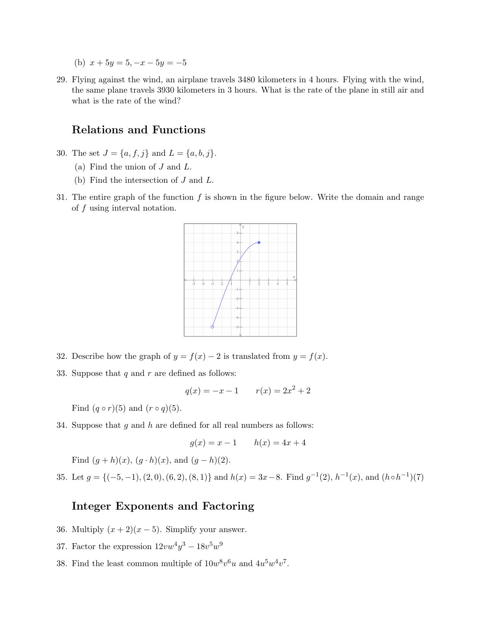- (b)  $x + 5y = 5, -x 5y = -5$
- 29. Flying against the wind, an airplane travels 3480 kilometers in 4 hours. Flying with the wind, the same plane travels 3930 kilometers in 3 hours. What is the rate of the plane in still air and what is the rate of the wind?

### Relations and Functions

- 30. The set  $J = \{a, f, j\}$  and  $L = \{a, b, j\}.$ 
	- (a) Find the union of  $J$  and  $L$ .
	- (b) Find the intersection of J and L.
- 31. The entire graph of the function  $f$  is shown in the figure below. Write the domain and range of f using interval notation.



- 32. Describe how the graph of  $y = f(x) 2$  is translated from  $y = f(x)$ .
- 33. Suppose that  $q$  and  $r$  are defined as follows:

$$
q(x) = -x - 1 \qquad r(x) = 2x^2 + 2
$$

Find  $(q \circ r)(5)$  and  $(r \circ q)(5)$ .

34. Suppose that  $q$  and  $h$  are defined for all real numbers as follows:

$$
g(x) = x - 1
$$
  $h(x) = 4x + 4$ 

Find  $(q + h)(x)$ ,  $(q \cdot h)(x)$ , and  $(q - h)(2)$ .

35. Let  $g = \{(-5, -1), (2, 0), (6, 2), (8, 1)\}\$ and  $h(x) = 3x - 8$ . Find  $g^{-1}(2), h^{-1}(x),$  and  $(h \circ h^{-1})(7)$ 

### Integer Exponents and Factoring

- 36. Multiply  $(x+2)(x-5)$ . Simplify your answer.
- 37. Factor the expression  $12vw^4y^3 18v^5w^9$
- 38. Find the least common multiple of  $10w^8v^6u$  and  $4u^5w^4v^7$ .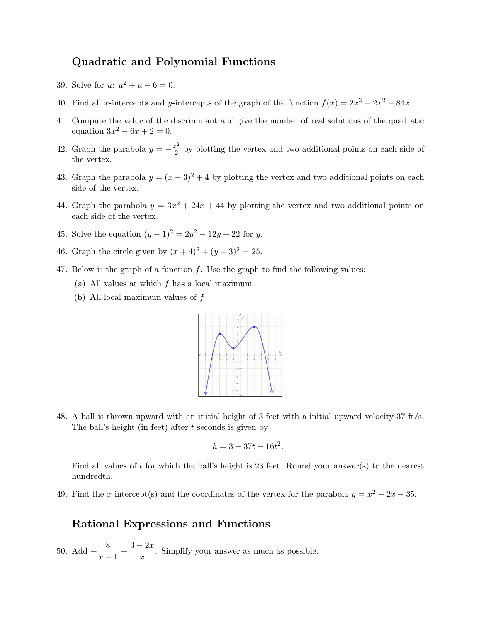### Quadratic and Polynomial Functions

- 39. Solve for  $u: u^2 + u 6 = 0$ .
- 40. Find all x-intercepts and y-intercepts of the graph of the function  $f(x) = 2x^3 2x^2 84x$ .
- 41. Compute the value of the discriminant and give the number of real solutions of the quadratic equation  $3x^2 - 6x + 2 = 0$ .
- 42. Graph the parabola  $y = -\frac{x^2}{2}$  $\frac{e^2}{2}$  by plotting the vertex and two additional points on each side of the vertex.
- 43. Graph the parabola  $y = (x 3)^2 + 4$  by plotting the vertex and two additional points on each side of the vertex.
- 44. Graph the parabola  $y = 3x^2 + 24x + 44$  by plotting the vertex and two additional points on each side of the vertex.
- 45. Solve the equation  $(y-1)^2 = 2y^2 12y + 22$  for y.
- 46. Graph the circle given by  $(x + 4)^2 + (y 3)^2 = 25$ .
- 47. Below is the graph of a function  $f$ . Use the graph to find the following values:
	- (a) All values at which  $f$  has a local maximum
	- (b) All local maximum values of  $f$



48. A ball is thrown upward with an initial height of 3 feet with a initial upward velocity 37 ft/s. The ball's height (in feet) after  $t$  seconds is given by

$$
h = 3 + 37t - 16t^2.
$$

Find all values of t for which the ball's height is 23 feet. Round your answer(s) to the nearest hundredth.

49. Find the x-intercept(s) and the coordinates of the vertex for the parabola  $y = x^2 - 2x - 35$ .

#### Rational Expressions and Functions

50. Add  $-\frac{8}{3}$  $\frac{8}{x-1} + \frac{3-2x}{x}$  $\frac{2x}{x}$ . Simplify your answer as much as possible.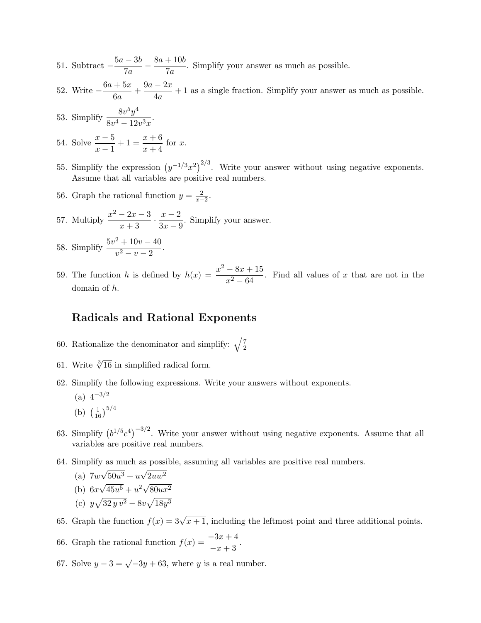- 51. Subtract  $-\frac{5a-3b}{7}$  $\frac{-3b}{7a} - \frac{8a + 10b}{7a}$  $\frac{7200}{7a}$ . Simplify your answer as much as possible.
- 52. Write  $-\frac{6a+5x}{c}$  $\frac{+5x}{6a} + \frac{9a-2x}{4a}$  $\frac{2\pi}{4a} + 1$  as a single fraction. Simplify your answer as much as possible.
- 53. Simplify <sup>8</sup><sup>v</sup> 5y 4  $\frac{66}{8v^4-12v^3x}$ .
- 54. Solve  $\frac{x-5}{x-1} + 1 = \frac{x+6}{x+4}$  $\frac{x+8}{x+4}$  for x.
- 55. Simplify the expression  $(y^{-1/3}x^2)^{2/3}$ . Write your answer without using negative exponents. Assume that all variables are positive real numbers.
- 56. Graph the rational function  $y = \frac{2}{x-2}$ .
- 57. Multiply  $\frac{x^2-2x-3}{2}$  $\frac{-2x-3}{x+3} \cdot \frac{x-2}{3x-9}$  $\frac{x}{3x-9}$ . Simplify your answer.
- 58. Simplify  $\frac{5v^2 + 10v 40}{2}$  $\frac{100}{v^2-v-2}$ .
- 59. The function h is defined by  $h(x) = \frac{x^2 8x + 15}{x^2 64}$  $\frac{3x+25}{x^2-64}$ . Find all values of x that are not in the domain of h.

### Radicals and Rational Exponents

- 60. Rationalize the denominator and simplify:  $\sqrt{\frac{7}{2}}$ 2
- 61. Write  $\sqrt[3]{16}$  in simplified radical form.
- 62. Simplify the following expressions. Write your answers without exponents.
	- $(a)$  4<sup>-3/2</sup>
	- (b)  $\left(\frac{1}{16}\right)^{5/4}$
- 63. Simplify  $(b^{1/5}c^4)^{-3/2}$ . Write your answer without using negative exponents. Assume that all variables are positive real numbers.
- 64. Simplify as much as possible, assuming all variables are positive real numbers.
	- $(a)$  7 $w$ √  $50u^3 + u$ √  $2uw^2$ √  $\frac{36u}{45u^5} + u^2\sqrt{}$
	- $(b)$  6x  $80ux^2$
	- (c)  $y\sqrt{32y v^2} 8v\sqrt{18y^3}$
- 65. Graph the function  $f(x) = 3\sqrt{x+1}$ , including the leftmost point and three additional points.
- 66. Graph the rational function  $f(x) = \frac{-3x+4}{-x+3}$ .
- 67. Solve  $y 3 = \sqrt{-3y + 63}$ , where y is a real number.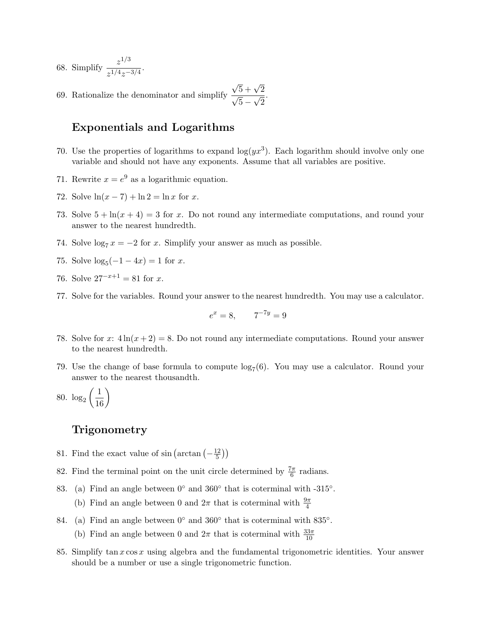68. Simplify  $\frac{z^{1/3}}{1/4}$  $\frac{z^{1/4}z^{-3/4}}$ .

69. Rationalize the denominator and simplify  $\frac{\sqrt{5} + \sqrt{2}}{\sqrt{2}}$  $5 \frac{v}{\sqrt{2}}$ 2 .

### Exponentials and Logarithms

- 70. Use the properties of logarithms to expand  $log(yx^3)$ . Each logarithm should involve only one variable and should not have any exponents. Assume that all variables are positive.
- 71. Rewrite  $x = e^9$  as a logarithmic equation.
- 72. Solve  $\ln(x 7) + \ln 2 = \ln x$  for x.
- 73. Solve  $5 + \ln(x + 4) = 3$  for x. Do not round any intermediate computations, and round your answer to the nearest hundredth.
- 74. Solve  $\log_7 x = -2$  for x. Simplify your answer as much as possible.
- 75. Solve  $\log_5(-1-4x) = 1$  for x.
- 76. Solve  $27^{-x+1} = 81$  for x.
- 77. Solve for the variables. Round your answer to the nearest hundredth. You may use a calculator.

$$
e^x = 8, \qquad 7^{-7y} = 9
$$

- 78. Solve for x:  $4\ln(x+2) = 8$ . Do not round any intermediate computations. Round your answer to the nearest hundredth.
- 79. Use the change of base formula to compute  $log_7(6)$ . You may use a calculator. Round your answer to the nearest thousandth.
- 80.  $\log_2\left(\frac{1}{16}\right)$

#### Trigonometry

- 81. Find the exact value of  $\sin\left(\arctan\left(-\frac{12}{5}\right)\right)$  $\frac{12}{5})$
- 82. Find the terminal point on the unit circle determined by  $\frac{7\pi}{6}$  radians.
- 83. (a) Find an angle between  $0°$  and  $360°$  that is coterminal with -315°.
	- (b) Find an angle between 0 and  $2\pi$  that is coterminal with  $\frac{9\pi}{4}$
- 84. (a) Find an angle between  $0°$  and  $360°$  that is coterminal with  $835°$ .
	- (b) Find an angle between 0 and  $2\pi$  that is coterminal with  $\frac{33\pi}{10}$
- 85. Simplify tan  $x \cos x$  using algebra and the fundamental trigonometric identities. Your answer should be a number or use a single trigonometric function.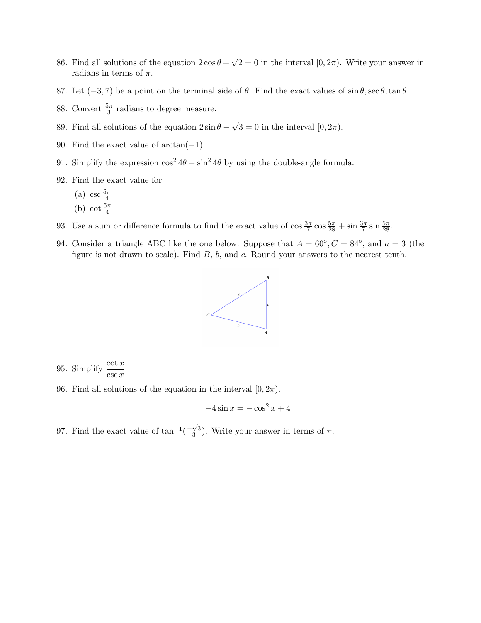- 86. Find all solutions of the equation  $2\cos\theta +$ √  $2 = 0$  in the interval  $[0, 2\pi)$ . Write your answer in radians in terms of  $\pi$ .
- 87. Let  $(-3, 7)$  be a point on the terminal side of  $\theta$ . Find the exact values of sin  $\theta$ , sec  $\theta$ , tan  $\theta$ .
- 88. Convert  $\frac{5\pi}{3}$  radians to degree measure.
- 89. Find all solutions of the equation  $2 \sin \theta$  √  $3 = 0$  in the interval  $[0, 2\pi)$ .
- 90. Find the exact value of  $arctan(-1)$ .
- 91. Simplify the expression  $\cos^2 4\theta \sin^2 4\theta$  by using the double-angle formula.
- 92. Find the exact value for
	- (a) csc  $\frac{5\pi}{4}$ (b) cot  $\frac{5\pi}{4}$
- 93. Use a sum or difference formula to find the exact value of  $\cos \frac{3\pi}{7} \cos \frac{5\pi}{28} + \sin \frac{3\pi}{7} \sin \frac{5\pi}{28}$ .
- 94. Consider a triangle ABC like the one below. Suppose that  $A = 60^{\circ}, C = 84^{\circ}$ , and  $a = 3$  (the figure is not drawn to scale). Find  $B$ ,  $b$ , and  $c$ . Round your answers to the nearest tenth.



95. Simplify  $\frac{\cot x}{\csc x}$ 

96. Find all solutions of the equation in the interval  $[0, 2\pi)$ .

$$
-4\sin x = -\cos^2 x + 4
$$

97. Find the exact value of  $\tan^{-1}(\frac{-\sqrt{3}}{3})$  $\frac{\sqrt{3}}{3}$ ). Write your answer in terms of  $\pi$ .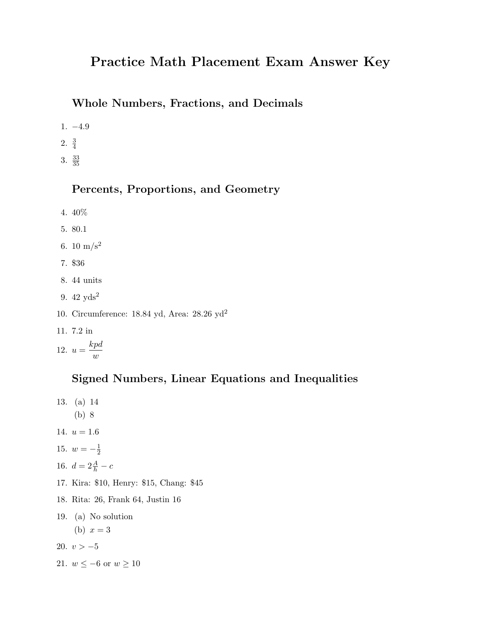# Practice Math Placement Exam Answer Key

### Whole Numbers, Fractions, and Decimals

- 1. −4.9
- 2.  $\frac{3}{4}$
- 3.  $\frac{33}{35}$

### Percents, Proportions, and Geometry

- 4. 40%
- 5. 80.1
- 6. 10  $\text{m/s}^2$
- 7. \$36
- 8. 44 units
- 9. 42 yds<sup>2</sup>
- 10. Circumference: 18.84 yd, Area: 28.26 yd<sup>2</sup>
- 11. 7.2 in

$$
12. \ u = \frac{kpd}{w}
$$

### Signed Numbers, Linear Equations and Inequalities

- 13. (a) 14 (b) 8
- 14.  $u = 1.6$
- 15.  $w = -\frac{1}{2}$  $\overline{2}$
- 16.  $d = 2\frac{A}{h} c$
- 17. Kira: \$10, Henry: \$15, Chang: \$45
- 18. Rita: 26, Frank 64, Justin 16
- 19. (a) No solution

(b)  $x = 3$ 

- 20.  $v > -5$
- 21.  $w \le -6$  or  $w \ge 10$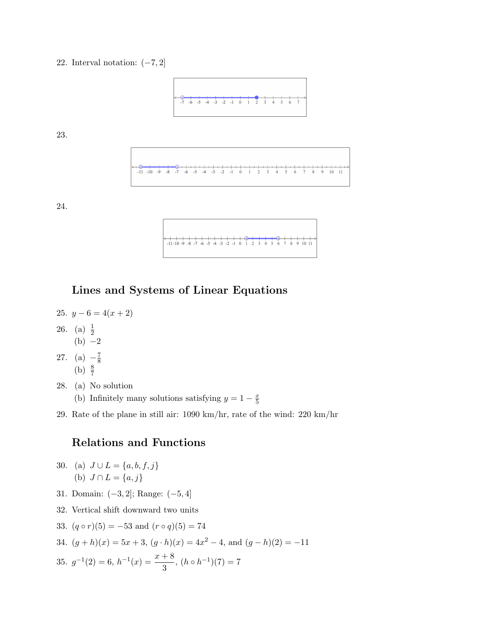22. Interval notation:  $(-7, 2]$ 



23.

24.

| $-11-10-9$ -8 -7 -6 -5 -4 -3 -2 -1 0 1 2 3 4 5 6 7 8 9 10 11 |
|--------------------------------------------------------------|
|                                                              |
|                                                              |

### Lines and Systems of Linear Equations

- 25.  $y-6=4(x+2)$
- 26. (a)  $\frac{1}{2}$  $(b) -2$
- 27. (a)  $-\frac{7}{8}$ 8 (b)  $\frac{8}{7}$
- 28. (a) No solution
	- (b) Infinitely many solutions satisfying  $y = 1 \frac{x}{5}$ 5
- 29. Rate of the plane in still air: 1090 km/hr, rate of the wind: 220 km/hr

## Relations and Functions

- 30. (a)  $J \cup L = \{a, b, f, j\}$ (b)  $J \cap L = \{a, j\}$
- 31. Domain: (−3, 2]; Range: (−5, 4]
- 32. Vertical shift downward two units
- 33.  $(q \circ r)(5) = -53$  and  $(r \circ q)(5) = 74$
- 34.  $(g+h)(x) = 5x+3$ ,  $(g \cdot h)(x) = 4x^2-4$ , and  $(g-h)(2) = -11$

35. 
$$
g^{-1}(2) = 6
$$
,  $h^{-1}(x) = \frac{x+8}{3}$ ,  $(h \circ h^{-1})(7) = 7$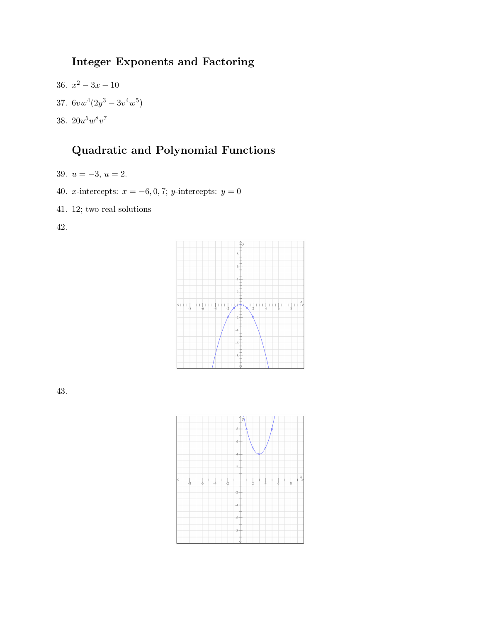# Integer Exponents and Factoring

36.  $x^2 - 3x - 10$ 37.  $6vw^4(2y^3-3v^4w^5)$ 38.  $20u^5w^8v^7$ 

# Quadratic and Polynomial Functions

- 39.  $u = -3, u = 2.$
- 40. *x*-intercepts:  $x = -6, 0, 7$ ; *y*-intercepts:  $y = 0$
- 41. 12; two real solutions

42.



43.

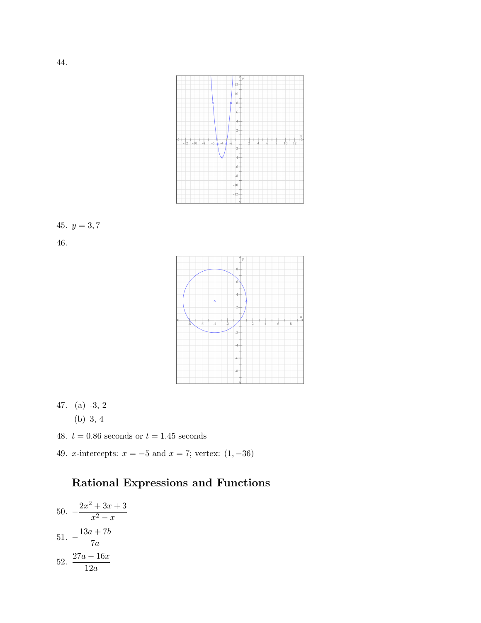

# 45.  $y = 3, 7$

46.



- 47. (a) -3, 2
	- (b) 3, 4
- 48.  $t = 0.86$  seconds or  $t = 1.45$  seconds
- 49. *x*-intercepts:  $x = -5$  and  $x = 7$ ; vertex:  $(1, -36)$

# Rational Expressions and Functions

50. 
$$
-\frac{2x^2 + 3x + 3}{x^2 - x}
$$
  
51. 
$$
-\frac{13a + 7b}{7a}
$$
  
52. 
$$
\frac{27a - 16x}{12a}
$$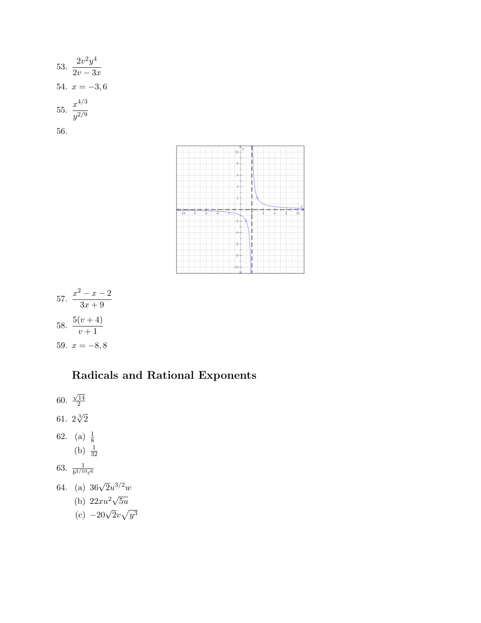53. 
$$
\frac{2v^2y^4}{2v - 3x}
$$
  
54.  $x = -3, 6$   
55. 
$$
\frac{x^{4/3}}{y^{2/9}}
$$
  
56.



 $57. \frac{x^2 - x - 2}{2}$  $3x + 9$ 58.  $\frac{5(v+4)}{1}$  $v+1$ 59.  $x = -8, 8$ 

# Radicals and Rational Exponents

- 60.  $\sqrt{14}$ 2
- 61.  $2\sqrt[3]{2}$
- 62. (a)  $\frac{1}{8}$ 
	- (b)  $\frac{1}{32}$
- 63.  $\frac{1}{b^{3/10}c^6}$
- 64. (a)  $36\sqrt{2}u^{3/2}w$ 
	- (b)  $22xu^2\sqrt{ }$  $5u$
	- (c)  $-20\sqrt{2}v\sqrt{y^3}$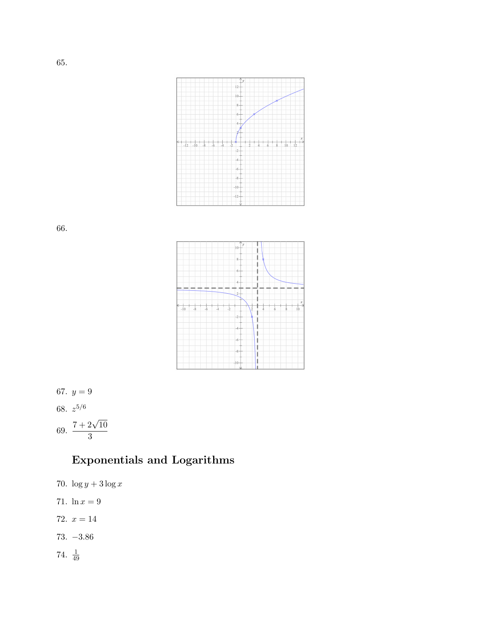

66.



67.  $y = 9$ 68.  $z^{5/6}$ 69.  $\frac{7+2\sqrt{10}}{2}$ 3

# Exponentials and Logarithms

70.  $\log y + 3 \log x$ 71.  $\ln x = 9$ 72.  $x = 14$ 73. −3.86 74.  $\frac{1}{49}$ 

65.